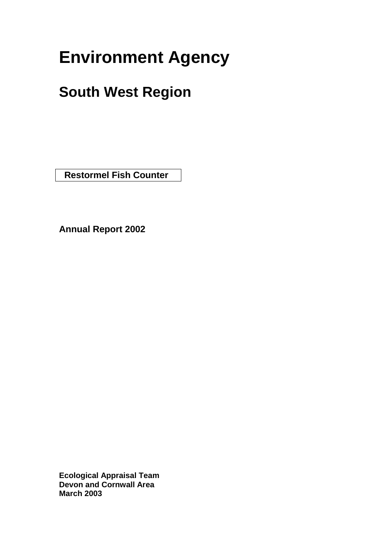# **Environment Agency**

# **South West Region**

 **Restormel Fish Counter** 

**Annual Report 2002**

**Ecological Appraisal Team Devon and Cornwall Area March 2003**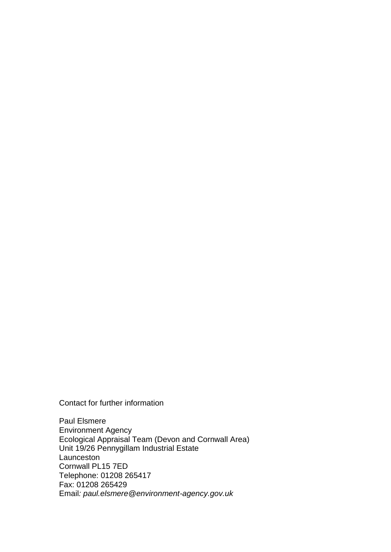Contact for further information

Paul Elsmere Environment Agency Ecological Appraisal Team (Devon and Cornwall Area) Unit 19/26 Pennygillam Industrial Estate Launceston Cornwall PL15 7ED Telephone: 01208 265417 Fax: 01208 265429 Email*: paul.elsmere@environment-agency.gov.uk*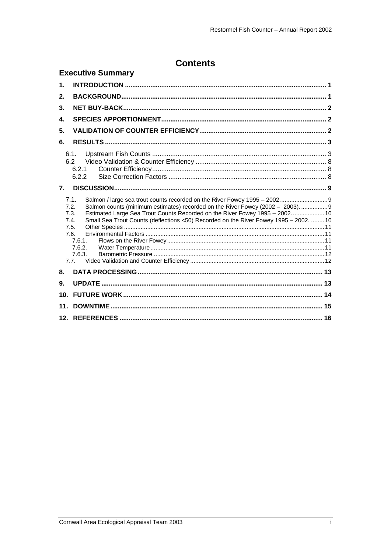# **Contents**

|                                              | <b>Executive Summary</b>                                                                                                                                                                                                                                                                                                                                                 |  |
|----------------------------------------------|--------------------------------------------------------------------------------------------------------------------------------------------------------------------------------------------------------------------------------------------------------------------------------------------------------------------------------------------------------------------------|--|
| $\mathbf 1$ .                                |                                                                                                                                                                                                                                                                                                                                                                          |  |
| 2.                                           |                                                                                                                                                                                                                                                                                                                                                                          |  |
| 3.                                           |                                                                                                                                                                                                                                                                                                                                                                          |  |
| 4.                                           |                                                                                                                                                                                                                                                                                                                                                                          |  |
| 5.                                           |                                                                                                                                                                                                                                                                                                                                                                          |  |
| 6.                                           |                                                                                                                                                                                                                                                                                                                                                                          |  |
| 6.2                                          | 6.1.<br>6.2.1<br>6.2.2                                                                                                                                                                                                                                                                                                                                                   |  |
| $\overline{7}$ .                             |                                                                                                                                                                                                                                                                                                                                                                          |  |
| 7.1.<br>7.2.<br>7.3.<br>7.4.<br>7.5.<br>7.6. | Salmon / large sea trout counts recorded on the River Fowey 1995 - 2002 9<br>Salmon counts (minimum estimates) recorded on the River Fowey (2002 - 2003) 9<br>Estimated Large Sea Trout Counts Recorded on the River Fowey 1995 - 2002 10<br>Small Sea Trout Counts (deflections <50) Recorded on the River Fowey 1995 - 2002.  10<br>7.6.1.<br>7.6.2.<br>7.6.3.<br>7.7. |  |
| 8.                                           |                                                                                                                                                                                                                                                                                                                                                                          |  |
| 9.                                           |                                                                                                                                                                                                                                                                                                                                                                          |  |
| 10 <sub>1</sub>                              |                                                                                                                                                                                                                                                                                                                                                                          |  |
| 11.                                          |                                                                                                                                                                                                                                                                                                                                                                          |  |
|                                              |                                                                                                                                                                                                                                                                                                                                                                          |  |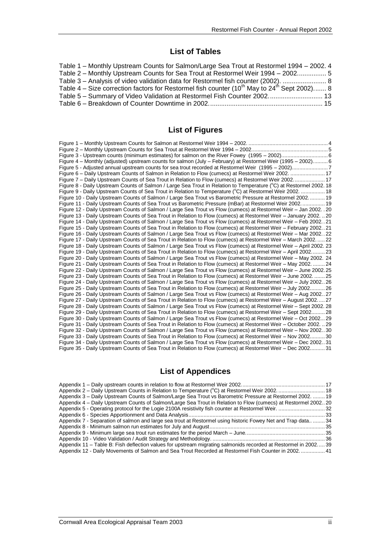### **List of Tables**

| Table 1 – Monthly Upstream Counts for Salmon/Large Sea Trout at Restormel 1994 – 2002. 4                            |  |
|---------------------------------------------------------------------------------------------------------------------|--|
| Table 2 - Monthly Upstream Counts for Sea Trout at Restormel Weir 1994 - 2002 5                                     |  |
| Table 3 - Analysis of video validation data for Restormel fish counter (2002).  8                                   |  |
| Table 4 – Size correction factors for Restormel fish counter (10 <sup>th</sup> May to 24 <sup>th</sup> Sept 2002) 8 |  |
| Table 5 – Summary of Video Validation at Restormel Fish Counter 2002 13                                             |  |
|                                                                                                                     |  |

### **List of Figures**

### **List of Appendices**

| Appendix 3 – Daily Upstream Counts of Salmon/Large Sea Trout vs Barometric Pressure at Restormel 2002.  19      |  |
|-----------------------------------------------------------------------------------------------------------------|--|
| Appendix 4 – Daily Upstream Counts of Salmon/Large Sea Trout in Relation to Flow (cumecs) at Restormel 200220   |  |
|                                                                                                                 |  |
|                                                                                                                 |  |
| Appendix 7 - Separation of salmon and large sea trout at Restormel using historic Fowey Net and Trap data  34   |  |
|                                                                                                                 |  |
|                                                                                                                 |  |
|                                                                                                                 |  |
| Appendix 11 - Table B: Fish deflection values for upstream migrating salmonids recorded at Restormel in 2002 39 |  |
| Appendix 12 - Daily Movements of Salmon and Sea Trout Recorded at Restormel Fish Counter in 2002 41             |  |
|                                                                                                                 |  |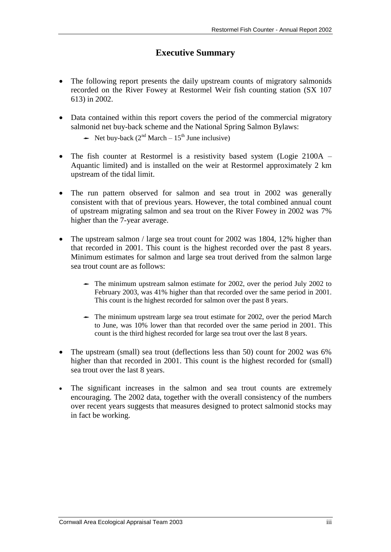### **Executive Summary**

- The following report presents the daily upstream counts of migratory salmonids recorded on the River Fowey at Restormel Weir fish counting station (SX 107 613) in 2002.
- Data contained within this report covers the period of the commercial migratory salmonid net buy-back scheme and the National Spring Salmon Bylaws:
	- Net buy-back ( $2<sup>nd</sup> March 15<sup>th</sup> June inclusive$ )
- The fish counter at Restormel is a resistivity based system (Logie 2100A Aquantic limited) and is installed on the weir at Restormel approximately 2 km upstream of the tidal limit.
- The run pattern observed for salmon and sea trout in 2002 was generally consistent with that of previous years. However, the total combined annual count of upstream migrating salmon and sea trout on the River Fowey in 2002 was 7% higher than the 7-year average.
- The upstream salmon / large sea trout count for 2002 was 1804, 12% higher than that recorded in 2001. This count is the highest recorded over the past 8 years. Minimum estimates for salmon and large sea trout derived from the salmon large sea trout count are as follows:
	- $\rightarrow$  The minimum upstream salmon estimate for 2002, over the period July 2002 to February 2003, was 41% higher than that recorded over the same period in 2001. This count is the highest recorded for salmon over the past 8 years.
	- The minimum upstream large sea trout estimate for 2002, over the period March to June, was 10% lower than that recorded over the same period in 2001. This count is the third highest recorded for large sea trout over the last 8 years.
- The upstream (small) sea trout (deflections less than 50) count for 2002 was 6% higher than that recorded in 2001. This count is the highest recorded for (small) sea trout over the last 8 years.
- The significant increases in the salmon and sea trout counts are extremely encouraging. The 2002 data, together with the overall consistency of the numbers over recent years suggests that measures designed to protect salmonid stocks may in fact be working.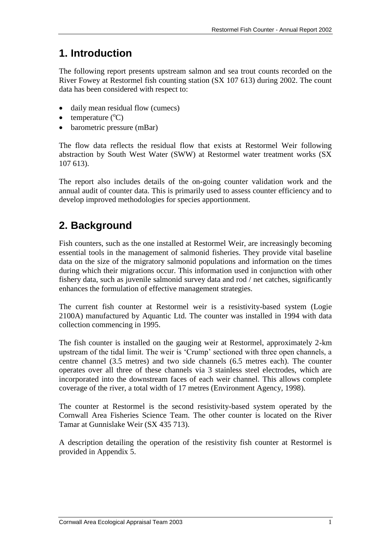### **1. Introduction**

The following report presents upstream salmon and sea trout counts recorded on the River Fowey at Restormel fish counting station (SX 107 613) during 2002. The count data has been considered with respect to:

- daily mean residual flow (cumecs)
- temperature  $({}^{\circ}C)$
- barometric pressure (mBar)

The flow data reflects the residual flow that exists at Restormel Weir following abstraction by South West Water (SWW) at Restormel water treatment works (SX 107 613).

The report also includes details of the on-going counter validation work and the annual audit of counter data. This is primarily used to assess counter efficiency and to develop improved methodologies for species apportionment.

### **2. Background**

Fish counters, such as the one installed at Restormel Weir, are increasingly becoming essential tools in the management of salmonid fisheries. They provide vital baseline data on the size of the migratory salmonid populations and information on the times during which their migrations occur. This information used in conjunction with other fishery data, such as juvenile salmonid survey data and rod / net catches, significantly enhances the formulation of effective management strategies.

The current fish counter at Restormel weir is a resistivity-based system (Logie 2100A) manufactured by Aquantic Ltd. The counter was installed in 1994 with data collection commencing in 1995.

The fish counter is installed on the gauging weir at Restormel, approximately 2-km upstream of the tidal limit. The weir is 'Crump' sectioned with three open channels, a centre channel (3.5 metres) and two side channels (6.5 metres each). The counter operates over all three of these channels via 3 stainless steel electrodes, which are incorporated into the downstream faces of each weir channel. This allows complete coverage of the river, a total width of 17 metres (Environment Agency, 1998).

The counter at Restormel is the second resistivity-based system operated by the Cornwall Area Fisheries Science Team. The other counter is located on the River Tamar at Gunnislake Weir (SX 435 713).

A description detailing the operation of the resistivity fish counter at Restormel is provided in Appendix 5.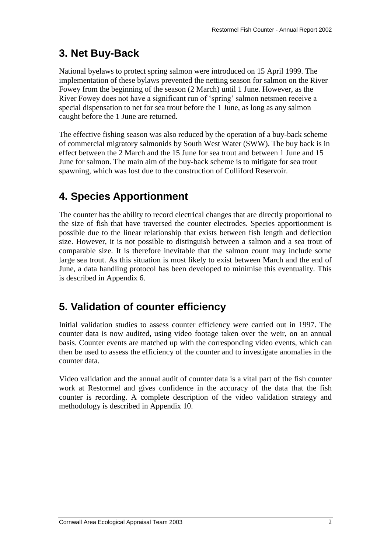# **3. Net Buy-Back**

National byelaws to protect spring salmon were introduced on 15 April 1999. The implementation of these bylaws prevented the netting season for salmon on the River Fowey from the beginning of the season (2 March) until 1 June. However, as the River Fowey does not have a significant run of 'spring' salmon netsmen receive a special dispensation to net for sea trout before the 1 June, as long as any salmon caught before the 1 June are returned.

The effective fishing season was also reduced by the operation of a buy-back scheme of commercial migratory salmonids by South West Water (SWW). The buy back is in effect between the 2 March and the 15 June for sea trout and between 1 June and 15 June for salmon. The main aim of the buy-back scheme is to mitigate for sea trout spawning, which was lost due to the construction of Colliford Reservoir.

# **4. Species Apportionment**

The counter has the ability to record electrical changes that are directly proportional to the size of fish that have traversed the counter electrodes. Species apportionment is possible due to the linear relationship that exists between fish length and deflection size. However, it is not possible to distinguish between a salmon and a sea trout of comparable size. It is therefore inevitable that the salmon count may include some large sea trout. As this situation is most likely to exist between March and the end of June, a data handling protocol has been developed to minimise this eventuality. This is described in Appendix 6.

# **5. Validation of counter efficiency**

Initial validation studies to assess counter efficiency were carried out in 1997. The counter data is now audited, using video footage taken over the weir, on an annual basis. Counter events are matched up with the corresponding video events, which can then be used to assess the efficiency of the counter and to investigate anomalies in the counter data.

Video validation and the annual audit of counter data is a vital part of the fish counter work at Restormel and gives confidence in the accuracy of the data that the fish counter is recording. A complete description of the video validation strategy and methodology is described in Appendix 10.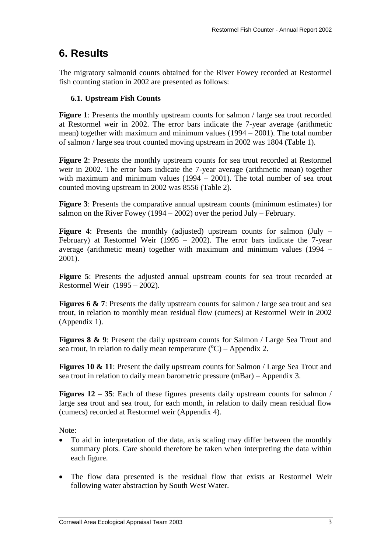### **6. Results**

The migratory salmonid counts obtained for the River Fowey recorded at Restormel fish counting station in 2002 are presented as follows:

### **6.1. Upstream Fish Counts**

**Figure 1**: Presents the monthly upstream counts for salmon / large sea trout recorded at Restormel weir in 2002. The error bars indicate the 7-year average (arithmetic mean) together with maximum and minimum values (1994 – 2001). The total number of salmon / large sea trout counted moving upstream in 2002 was 1804 (Table 1).

**Figure 2**: Presents the monthly upstream counts for sea trout recorded at Restormel weir in 2002. The error bars indicate the 7-year average (arithmetic mean) together with maximum and minimum values  $(1994 - 2001)$ . The total number of sea trout counted moving upstream in 2002 was 8556 (Table 2).

**Figure 3**: Presents the comparative annual upstream counts (minimum estimates) for salmon on the River Fowey (1994 – 2002) over the period July – February.

**Figure 4:** Presents the monthly (adjusted) upstream counts for salmon (July – February) at Restormel Weir (1995 – 2002). The error bars indicate the 7-year average (arithmetic mean) together with maximum and minimum values (1994 – 2001).

**Figure 5**: Presents the adjusted annual upstream counts for sea trout recorded at Restormel Weir (1995 – 2002).

**Figures 6 & 7:** Presents the daily upstream counts for salmon / large sea trout and sea trout, in relation to monthly mean residual flow (cumecs) at Restormel Weir in 2002 (Appendix 1).

**Figures 8 & 9**: Present the daily upstream counts for Salmon / Large Sea Trout and sea trout, in relation to daily mean temperature  $({}^{\circ}C)$  – Appendix 2.

**Figures 10 & 11**: Present the daily upstream counts for Salmon / Large Sea Trout and sea trout in relation to daily mean barometric pressure (mBar) – Appendix 3.

**Figures 12 – 35**: Each of these figures presents daily upstream counts for salmon / large sea trout and sea trout, for each month, in relation to daily mean residual flow (cumecs) recorded at Restormel weir (Appendix 4).

Note:

- To aid in interpretation of the data, axis scaling may differ between the monthly summary plots. Care should therefore be taken when interpreting the data within each figure.
- The flow data presented is the residual flow that exists at Restormel Weir following water abstraction by South West Water.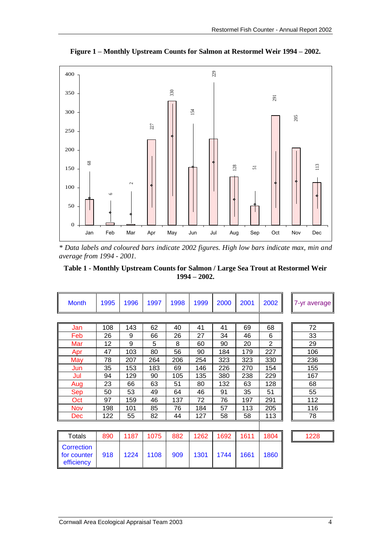

**Figure 1 – Monthly Upstream Counts for Salmon at Restormel Weir 1994 – 2002.**

*\* Data labels and coloured bars indicate 2002 figures. High low bars indicate max, min and average from 1994 - 2001.*

**Table 1 - Monthly Upstream Counts for Salmon / Large Sea Trout at Restormel Weir 1994 – 2002.**

| <b>Month</b>                            | 1995 | 1996 | 1997 | 1998 | 1999 | 2000 | 2001 | 2002           | 7-yr average |
|-----------------------------------------|------|------|------|------|------|------|------|----------------|--------------|
|                                         |      |      |      |      |      |      |      |                |              |
| Jan                                     | 108  | 143  | 62   | 40   | 41   | 41   | 69   | 68             | 72           |
| Feb                                     | 26   | 9    | 66   | 26   | 27   | 34   | 46   | 6              | 33           |
| Mar                                     | 12   | 9    | 5    | 8    | 60   | 90   | 20   | $\overline{2}$ | 29           |
| Apr                                     | 47   | 103  | 80   | 56   | 90   | 184  | 179  | 227            | 106          |
| May                                     | 78   | 207  | 264  | 206  | 254  | 323  | 323  | 330            | 236          |
| Jun                                     | 35   | 153  | 183  | 69   | 146  | 226  | 270  | 154            | 155          |
| Jul                                     | 94   | 129  | 90   | 105  | 135  | 380  | 238  | 229            | 167          |
| Aug                                     | 23   | 66   | 63   | 51   | 80   | 132  | 63   | 128            | 68           |
| Sep                                     | 50   | 53   | 49   | 64   | 46   | 91   | 35   | 51             | 55           |
| Oct                                     | 97   | 159  | 46   | 137  | 72   | 76   | 197  | 291            | 112          |
| Nov                                     | 198  | 101  | 85   | 76   | 184  | 57   | 113  | 205            | 116          |
| Dec                                     | 122  | 55   | 82   | 44   | 127  | 58   | 58   | 113            | 78           |
|                                         |      |      |      |      |      |      |      |                |              |
| Totals                                  | 890  | 1187 | 1075 | 882  | 1262 | 1692 | 1611 | 1804           | 1228         |
| Correction<br>for counter<br>efficiency | 918  | 1224 | 1108 | 909  | 1301 | 1744 | 1661 | 1860           |              |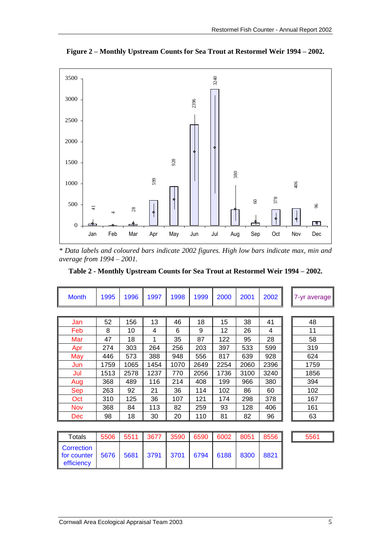

**Figure 2 – Monthly Upstream Counts for Sea Trout at Restormel Weir 1994 – 2002.**

*\* Data labels and coloured bars indicate 2002 figures. High low bars indicate max, min and average from 1994 – 2001.*

**Table 2 - Monthly Upstream Counts for Sea Trout at Restormel Weir 1994 – 2002.**

| <b>Month</b> | 1995 | 1996 | 1997 | 1998 | 1999 | 2000 | 2001 | 2002 | 7-yr average |
|--------------|------|------|------|------|------|------|------|------|--------------|
|              |      |      |      |      |      |      |      |      |              |
| Jan          | 52   | 156  | 13   | 46   | 18   | 15   | 38   | 41   | 48           |
| Feb          | 8    | 10   | 4    | 6    | 9    | 12   | 26   | 4    | 11           |
| Mar          | 47   | 18   | 1    | 35   | 87   | 122  | 95   | 28   | 58           |
| Apr          | 274  | 303  | 264  | 256  | 203  | 397  | 533  | 599  | 319          |
| May          | 446  | 573  | 388  | 948  | 556  | 817  | 639  | 928  | 624          |
| Jun          | 1759 | 1065 | 1454 | 1070 | 2649 | 2254 | 2060 | 2396 | 1759         |
| Jul          | 1513 | 2578 | 1237 | 770  | 2056 | 1736 | 3100 | 3240 | 1856         |
| Aug          | 368  | 489  | 116  | 214  | 408  | 199  | 966  | 380  | 394          |
| <b>Sep</b>   | 263  | 92   | 21   | 36   | 114  | 102  | 86   | 60   | 102          |
| Oct          | 310  | 125  | 36   | 107  | 121  | 174  | 298  | 378  | 167          |
| <b>Nov</b>   | 368  | 84   | 113  | 82   | 259  | 93   | 128  | 406  | 161          |
| <b>Dec</b>   | 98   | 18   | 30   | 20   | 110  | 81   | 82   | 96   | 63           |
|              |      |      |      |      |      |      |      |      |              |

| Totals                                         | 5506           | 5511 | 3677 | 3590 | 6590                     | 6002 | 8051 | 8556 | 5561 |
|------------------------------------------------|----------------|------|------|------|--------------------------|------|------|------|------|
| <b>Correction</b><br>for counter<br>efficiency | $4 - 5676 + F$ |      |      |      | 5681 3791 3701 6794 6188 |      | 8300 | 8821 |      |

|--|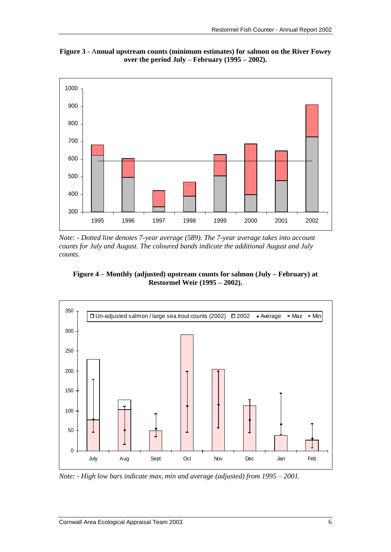



*Note: - Dotted line denotes 7-year average (589). The 7-year average takes into account counts for July and August. The coloured bands indicate the additional August and July counts.*





*Note: - High low bars indicate max, min and average (adjusted) from 1995 – 2001.*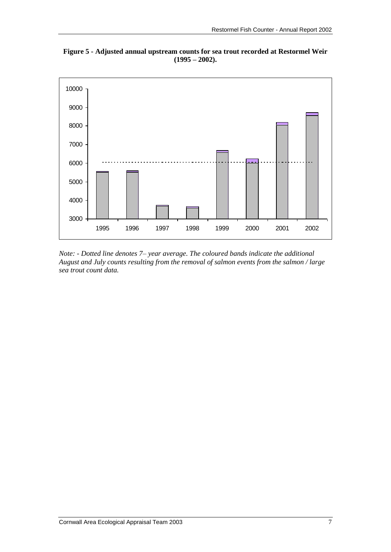**Figure 5 - Adjusted annual upstream counts for sea trout recorded at Restormel Weir (1995 – 2002).**



*Note: - Dotted line denotes 7– year average. The coloured bands indicate the additional August and July counts resulting from the removal of salmon events from the salmon / large sea trout count data.*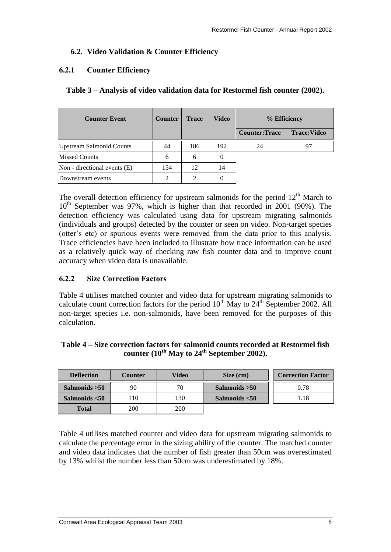### **6.2. Video Validation & Counter Efficiency**

### **6.2.1 Counter Efficiency**

**Table 3 – Analysis of video validation data for Restormel fish counter (2002).**

| <b>Counter Event</b>            | <b>Counter</b> | <b>Trace</b> | <b>Video</b> |                      | % Efficiency       |
|---------------------------------|----------------|--------------|--------------|----------------------|--------------------|
|                                 |                |              |              | <b>Counter:Trace</b> | <b>Trace:Video</b> |
| <b>Upstream Salmonid Counts</b> | 44             | 186          | 192          | 24                   | 97                 |
| <b>Missed Counts</b>            | 6              | 6            | $\theta$     |                      |                    |
| Non - directional events (E)    | 154            | 12           | 14           |                      |                    |
| Downstream events               | 2              | 2            |              |                      |                    |

The overall detection efficiency for upstream salmonids for the period  $12<sup>th</sup>$  March to  $10<sup>th</sup>$  September was 97%, which is higher than that recorded in 2001 (90%). The detection efficiency was calculated using data for upstream migrating salmonids (individuals and groups) detected by the counter or seen on video. Non-target species (otter's etc) or spurious events were removed from the data prior to this analysis. Trace efficiencies have been included to illustrate how trace information can be used as a relatively quick way of checking raw fish counter data and to improve count accuracy when video data is unavailable.

### **6.2.2 Size Correction Factors**

Table 4 utilises matched counter and video data for upstream migrating salmonids to calculate count correction factors for the period  $10^{th}$  May to  $24^{th}$  September 2002. All non-target species i.e. non-salmonids, have been removed for the purposes of this calculation.

### **Table 4 – Size correction factors for salmonid counts recorded at Restormel fish counter (10th May to 24th September 2002).**

| <b>Deflection</b> | Counter | Video | Size (cm)        | <b>Correction Factor</b> |
|-------------------|---------|-------|------------------|--------------------------|
| Salmonids $>50$   | 90      | 70    | Salmonids $>50$  | 0.78                     |
| Salmonids $<$ 50  | 10      | 130   | Salmonids $<$ 50 | 1.18                     |
| <b>Total</b>      | 200     | 200   |                  |                          |

Table 4 utilises matched counter and video data for upstream migrating salmonids to calculate the percentage error in the sizing ability of the counter. The matched counter and video data indicates that the number of fish greater than 50cm was overestimated by 13% whilst the number less than 50cm was underestimated by 18%.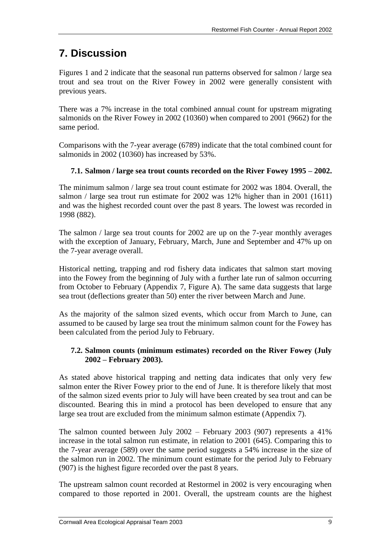# **7. Discussion**

Figures 1 and 2 indicate that the seasonal run patterns observed for salmon / large sea trout and sea trout on the River Fowey in 2002 were generally consistent with previous years.

There was a 7% increase in the total combined annual count for upstream migrating salmonids on the River Fowey in 2002 (10360) when compared to 2001 (9662) for the same period.

Comparisons with the 7-year average (6789) indicate that the total combined count for salmonids in 2002 (10360) has increased by 53%.

### **7.1. Salmon / large sea trout counts recorded on the River Fowey 1995 – 2002.**

The minimum salmon / large sea trout count estimate for 2002 was 1804. Overall, the salmon / large sea trout run estimate for 2002 was 12% higher than in 2001 (1611) and was the highest recorded count over the past 8 years. The lowest was recorded in 1998 (882).

The salmon / large sea trout counts for 2002 are up on the 7-year monthly averages with the exception of January, February, March, June and September and 47% up on the 7-year average overall.

Historical netting, trapping and rod fishery data indicates that salmon start moving into the Fowey from the beginning of July with a further late run of salmon occurring from October to February (Appendix 7, Figure A). The same data suggests that large sea trout (deflections greater than 50) enter the river between March and June.

As the majority of the salmon sized events, which occur from March to June, can assumed to be caused by large sea trout the minimum salmon count for the Fowey has been calculated from the period July to February.

### **7.2. Salmon counts (minimum estimates) recorded on the River Fowey (July 2002 – February 2003).**

As stated above historical trapping and netting data indicates that only very few salmon enter the River Fowey prior to the end of June. It is therefore likely that most of the salmon sized events prior to July will have been created by sea trout and can be discounted. Bearing this in mind a protocol has been developed to ensure that any large sea trout are excluded from the minimum salmon estimate (Appendix 7).

The salmon counted between July 2002 – February 2003 (907) represents a 41% increase in the total salmon run estimate, in relation to 2001 (645). Comparing this to the 7-year average (589) over the same period suggests a 54% increase in the size of the salmon run in 2002. The minimum count estimate for the period July to February (907) is the highest figure recorded over the past 8 years.

The upstream salmon count recorded at Restormel in 2002 is very encouraging when compared to those reported in 2001. Overall, the upstream counts are the highest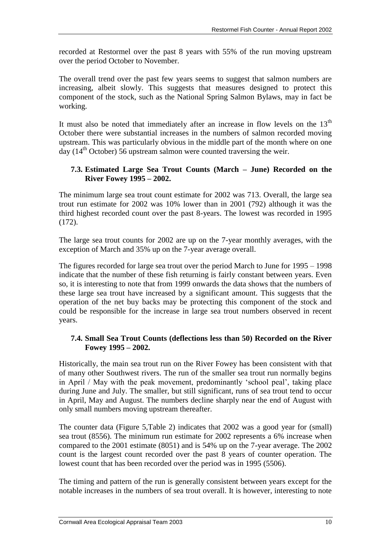recorded at Restormel over the past 8 years with 55% of the run moving upstream over the period October to November.

The overall trend over the past few years seems to suggest that salmon numbers are increasing, albeit slowly. This suggests that measures designed to protect this component of the stock, such as the National Spring Salmon Bylaws, may in fact be working.

It must also be noted that immediately after an increase in flow levels on the  $13<sup>th</sup>$ October there were substantial increases in the numbers of salmon recorded moving upstream. This was particularly obvious in the middle part of the month where on one day ( $14<sup>th</sup>$  October) 56 upstream salmon were counted traversing the weir.

### **7.3. Estimated Large Sea Trout Counts (March – June) Recorded on the River Fowey 1995 – 2002.**

The minimum large sea trout count estimate for 2002 was 713. Overall, the large sea trout run estimate for 2002 was 10% lower than in 2001 (792) although it was the third highest recorded count over the past 8-years. The lowest was recorded in 1995 (172).

The large sea trout counts for 2002 are up on the 7-year monthly averages, with the exception of March and 35% up on the 7-year average overall.

The figures recorded for large sea trout over the period March to June for 1995 – 1998 indicate that the number of these fish returning is fairly constant between years. Even so, it is interesting to note that from 1999 onwards the data shows that the numbers of these large sea trout have increased by a significant amount. This suggests that the operation of the net buy backs may be protecting this component of the stock and could be responsible for the increase in large sea trout numbers observed in recent years.

### **7.4. Small Sea Trout Counts (deflections less than 50) Recorded on the River Fowey 1995 – 2002.**

Historically, the main sea trout run on the River Fowey has been consistent with that of many other Southwest rivers. The run of the smaller sea trout run normally begins in April / May with the peak movement, predominantly 'school peal', taking place during June and July. The smaller, but still significant, runs of sea trout tend to occur in April, May and August. The numbers decline sharply near the end of August with only small numbers moving upstream thereafter.

The counter data (Figure 5,Table 2) indicates that 2002 was a good year for (small) sea trout (8556). The minimum run estimate for 2002 represents a 6% increase when compared to the 2001 estimate (8051) and is 54% up on the 7-year average. The 2002 count is the largest count recorded over the past 8 years of counter operation. The lowest count that has been recorded over the period was in 1995 (5506).

The timing and pattern of the run is generally consistent between years except for the notable increases in the numbers of sea trout overall. It is however, interesting to note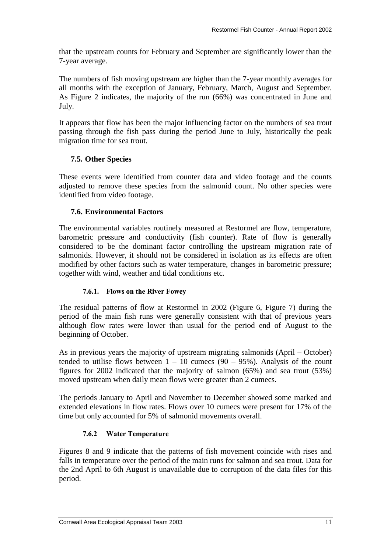that the upstream counts for February and September are significantly lower than the 7-year average.

The numbers of fish moving upstream are higher than the 7-year monthly averages for all months with the exception of January, February, March, August and September. As Figure 2 indicates, the majority of the run (66%) was concentrated in June and July.

It appears that flow has been the major influencing factor on the numbers of sea trout passing through the fish pass during the period June to July, historically the peak migration time for sea trout.

### **7.5. Other Species**

These events were identified from counter data and video footage and the counts adjusted to remove these species from the salmonid count. No other species were identified from video footage.

### **7.6. Environmental Factors**

The environmental variables routinely measured at Restormel are flow, temperature, barometric pressure and conductivity (fish counter). Rate of flow is generally considered to be the dominant factor controlling the upstream migration rate of salmonids. However, it should not be considered in isolation as its effects are often modified by other factors such as water temperature, changes in barometric pressure; together with wind, weather and tidal conditions etc.

### **7.6.1. Flows on the River Fowey**

The residual patterns of flow at Restormel in 2002 (Figure 6, Figure 7) during the period of the main fish runs were generally consistent with that of previous years although flow rates were lower than usual for the period end of August to the beginning of October.

As in previous years the majority of upstream migrating salmonids (April – October) tended to utilise flows between  $1 - 10$  cumecs (90 – 95%). Analysis of the count figures for 2002 indicated that the majority of salmon (65%) and sea trout (53%) moved upstream when daily mean flows were greater than 2 cumecs.

The periods January to April and November to December showed some marked and extended elevations in flow rates. Flows over 10 cumecs were present for 17% of the time but only accounted for 5% of salmonid movements overall.

### **7.6.2 Water Temperature**

Figures 8 and 9 indicate that the patterns of fish movement coincide with rises and falls in temperature over the period of the main runs for salmon and sea trout. Data for the 2nd April to 6th August is unavailable due to corruption of the data files for this period.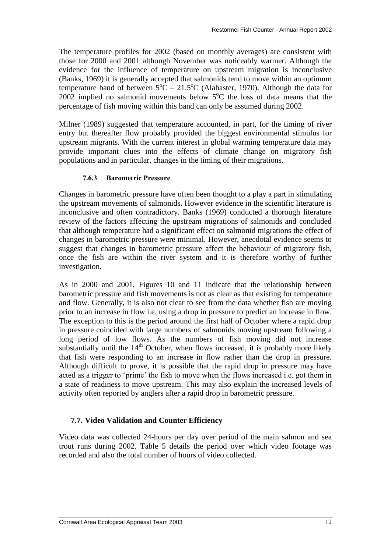The temperature profiles for 2002 (based on monthly averages) are consistent with those for 2000 and 2001 although November was noticeably warmer. Although the evidence for the influence of temperature on upstream migration is inconclusive (Banks, 1969) it is generally accepted that salmonids tend to move within an optimum temperature band of between  $5^{\circ}$ C – 21.5<sup>o</sup>C (Alabaster, 1970). Although the data for 2002 implied no salmonid movements below  $5^{\circ}$ C the loss of data means that the percentage of fish moving within this band can only be assumed during 2002.

Milner (1989) suggested that temperature accounted, in part, for the timing of river entry but thereafter flow probably provided the biggest environmental stimulus for upstream migrants. With the current interest in global warming temperature data may provide important clues into the effects of climate change on migratory fish populations and in particular, changes in the timing of their migrations.

#### **7.6.3 Barometric Pressure**

Changes in barometric pressure have often been thought to a play a part in stimulating the upstream movements of salmonids. However evidence in the scientific literature is inconclusive and often contradictory. Banks (1969) conducted a thorough literature review of the factors affecting the upstream migrations of salmonids and concluded that although temperature had a significant effect on salmonid migrations the effect of changes in barometric pressure were minimal. However, anecdotal evidence seems to suggest that changes in barometric pressure affect the behaviour of migratory fish, once the fish are within the river system and it is therefore worthy of further investigation.

As in 2000 and 2001, Figures 10 and 11 indicate that the relationship between barometric pressure and fish movements is not as clear as that existing for temperature and flow. Generally, it is also not clear to see from the data whether fish are moving prior to an increase in flow i.e. using a drop in pressure to predict an increase in flow. The exception to this is the period around the first half of October where a rapid drop in pressure coincided with large numbers of salmonids moving upstream following a long period of low flows. As the numbers of fish moving did not increase substantially until the  $14<sup>th</sup>$  October, when flows increased, it is probably more likely that fish were responding to an increase in flow rather than the drop in pressure. Although difficult to prove, it is possible that the rapid drop in pressure may have acted as a trigger to 'prime' the fish to move when the flows increased i.e. got them in a state of readiness to move upstream. This may also explain the increased levels of activity often reported by anglers after a rapid drop in barometric pressure.

### **7.7. Video Validation and Counter Efficiency**

Video data was collected 24-hours per day over period of the main salmon and sea trout runs during 2002. Table 5 details the period over which video footage was recorded and also the total number of hours of video collected.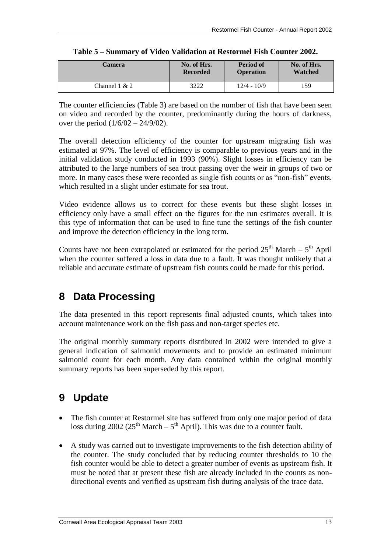| Camera        | No. of Hrs.     | <b>Period of</b> | No. of Hrs. |
|---------------|-----------------|------------------|-------------|
|               | <b>Recorded</b> | <b>Operation</b> | Watched     |
| Channel 1 & 2 | 3222            | $12/4 - 10/9$    | 159         |

|  | Table 5 – Summary of Video Validation at Restormel Fish Counter 2002. |  |  |
|--|-----------------------------------------------------------------------|--|--|
|  |                                                                       |  |  |

The counter efficiencies (Table 3) are based on the number of fish that have been seen on video and recorded by the counter, predominantly during the hours of darkness, over the period (1/6/02 – 24/9/02).

The overall detection efficiency of the counter for upstream migrating fish was estimated at 97%. The level of efficiency is comparable to previous years and in the initial validation study conducted in 1993 (90%). Slight losses in efficiency can be attributed to the large numbers of sea trout passing over the weir in groups of two or more. In many cases these were recorded as single fish counts or as "non-fish" events, which resulted in a slight under estimate for sea trout.

Video evidence allows us to correct for these events but these slight losses in efficiency only have a small effect on the figures for the run estimates overall. It is this type of information that can be used to fine tune the settings of the fish counter and improve the detection efficiency in the long term.

Counts have not been extrapolated or estimated for the period  $25<sup>th</sup>$  March –  $5<sup>th</sup>$  April when the counter suffered a loss in data due to a fault. It was thought unlikely that a reliable and accurate estimate of upstream fish counts could be made for this period.

# **8 Data Processing**

The data presented in this report represents final adjusted counts, which takes into account maintenance work on the fish pass and non-target species etc.

The original monthly summary reports distributed in 2002 were intended to give a general indication of salmonid movements and to provide an estimated minimum salmonid count for each month. Any data contained within the original monthly summary reports has been superseded by this report.

# **9 Update**

- The fish counter at Restormel site has suffered from only one major period of data loss during 2002 ( $25<sup>th</sup> March – 5<sup>th</sup> April$ ). This was due to a counter fault.
- A study was carried out to investigate improvements to the fish detection ability of the counter. The study concluded that by reducing counter thresholds to 10 the fish counter would be able to detect a greater number of events as upstream fish. It must be noted that at present these fish are already included in the counts as nondirectional events and verified as upstream fish during analysis of the trace data.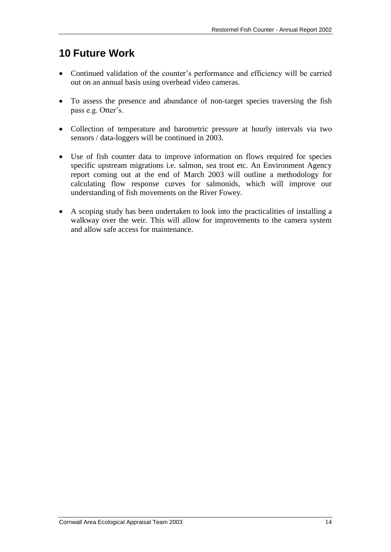### **10 Future Work**

- Continued validation of the counter's performance and efficiency will be carried out on an annual basis using overhead video cameras.
- To assess the presence and abundance of non-target species traversing the fish pass e.g. Otter's.
- Collection of temperature and barometric pressure at hourly intervals via two sensors / data-loggers will be continued in 2003.
- Use of fish counter data to improve information on flows required for species specific upstream migrations i.e. salmon, sea trout etc. An Environment Agency report coming out at the end of March 2003 will outline a methodology for calculating flow response curves for salmonids, which will improve our understanding of fish movements on the River Fowey.
- A scoping study has been undertaken to look into the practicalities of installing a walkway over the weir. This will allow for improvements to the camera system and allow safe access for maintenance.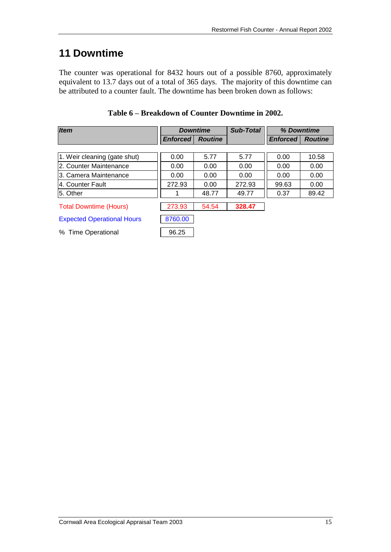### **11 Downtime**

The counter was operational for 8432 hours out of a possible 8760, approximately equivalent to 13.7 days out of a total of 365 days. The majority of this downtime can be attributed to a counter fault. The downtime has been broken down as follows:

| <b>Item</b>                       |                 | <b>Downtime</b> |        | % Downtime      |                |  |
|-----------------------------------|-----------------|-----------------|--------|-----------------|----------------|--|
|                                   | <b>Enforced</b> | <b>Routine</b>  |        | <b>Enforced</b> | <b>Routine</b> |  |
|                                   |                 |                 |        |                 |                |  |
| 1. Weir cleaning (gate shut)      | 0.00            | 5.77            | 5.77   | 0.00            | 10.58          |  |
| 12. Counter Maintenance           | 0.00            | 0.00            | 0.00   | 0.00            | 0.00           |  |
| 13. Camera Maintenance            | 0.00            | 0.00            | 0.00   | 0.00            | 0.00           |  |
| l4. Counter Fault                 | 272.93          | 0.00            | 272.93 | 99.63           | 0.00           |  |
| 15. Other                         |                 | 48.77           | 49.77  | 0.37            | 89.42          |  |
| <b>Total Downtime (Hours)</b>     | 273.93          | 54.54           | 328.47 |                 |                |  |
| <b>Expected Operational Hours</b> | 8760.00         |                 |        |                 |                |  |
| % Time Operational                | 96.25           |                 |        |                 |                |  |

**Table 6 – Breakdown of Counter Downtime in 2002.**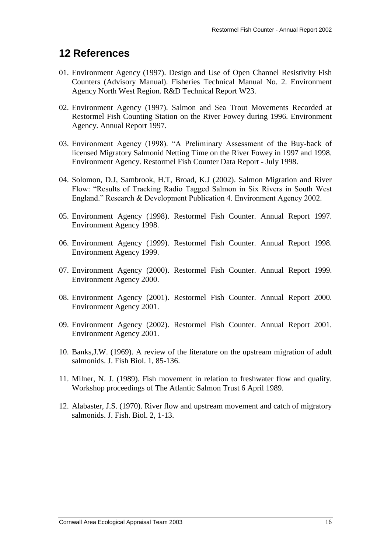### **12 References**

- 01. Environment Agency (1997). Design and Use of Open Channel Resistivity Fish Counters (Advisory Manual). Fisheries Technical Manual No. 2. Environment Agency North West Region. R&D Technical Report W23.
- 02. Environment Agency (1997). Salmon and Sea Trout Movements Recorded at Restormel Fish Counting Station on the River Fowey during 1996. Environment Agency. Annual Report 1997.
- 03. Environment Agency (1998). "A Preliminary Assessment of the Buy-back of licensed Migratory Salmonid Netting Time on the River Fowey in 1997 and 1998. Environment Agency. Restormel Fish Counter Data Report - July 1998.
- 04. Solomon, D.J, Sambrook, H.T, Broad, K.J (2002). Salmon Migration and River Flow: "Results of Tracking Radio Tagged Salmon in Six Rivers in South West England." Research & Development Publication 4. Environment Agency 2002.
- 05. Environment Agency (1998). Restormel Fish Counter. Annual Report 1997. Environment Agency 1998.
- 06. Environment Agency (1999). Restormel Fish Counter. Annual Report 1998. Environment Agency 1999.
- 07. Environment Agency (2000). Restormel Fish Counter. Annual Report 1999. Environment Agency 2000.
- 08. Environment Agency (2001). Restormel Fish Counter. Annual Report 2000. Environment Agency 2001.
- 09. Environment Agency (2002). Restormel Fish Counter. Annual Report 2001. Environment Agency 2001.
- 10. Banks,J.W. (1969). A review of the literature on the upstream migration of adult salmonids. J. Fish Biol. 1, 85-136.
- 11. Milner, N. J. (1989). Fish movement in relation to freshwater flow and quality. Workshop proceedings of The Atlantic Salmon Trust 6 April 1989.
- 12. Alabaster, J.S. (1970). River flow and upstream movement and catch of migratory salmonids. J. Fish. Biol. 2, 1-13.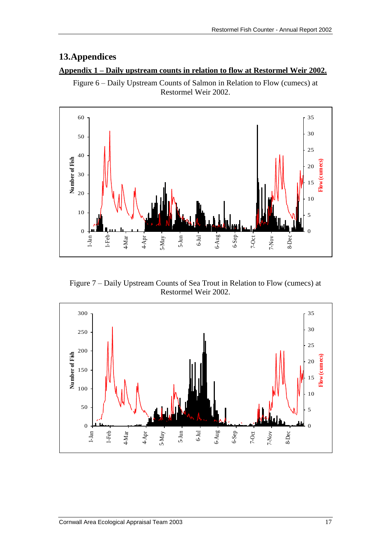### **13.Appendices**

#### **Appendix 1 – Daily upstream counts in relation to flow at Restormel Weir 2002.**

Figure 6 – Daily Upstream Counts of Salmon in Relation to Flow (cumecs) at Restormel Weir 2002.

![](_page_22_Figure_4.jpeg)

Figure 7 – Daily Upstream Counts of Sea Trout in Relation to Flow (cumecs) at Restormel Weir 2002.

![](_page_22_Figure_6.jpeg)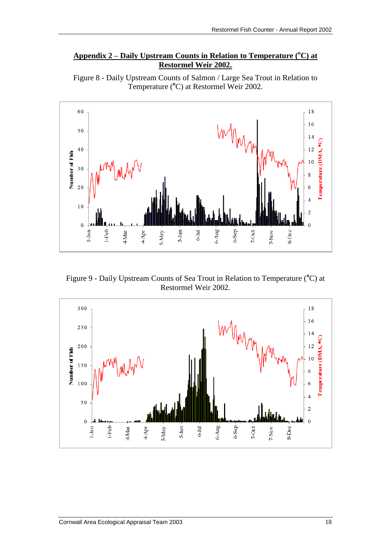### **Appendix 2 – Daily Upstream Counts in Relation to Temperature (<sup>o</sup>C) at Restormel Weir 2002.**

![](_page_23_Figure_2.jpeg)

![](_page_23_Figure_3.jpeg)

Figure 9 - Daily Upstream Counts of Sea Trout in Relation to Temperature (<sup>o</sup>C) at Restormel Weir 2002.

![](_page_23_Figure_5.jpeg)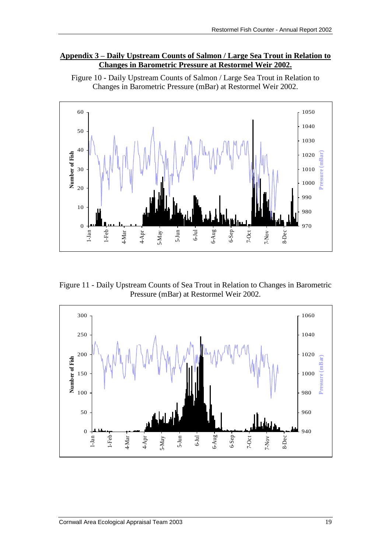#### **Appendix 3 – Daily Upstream Counts of Salmon / Large Sea Trout in Relation to Changes in Barometric Pressure at Restormel Weir 2002.**

![](_page_24_Figure_2.jpeg)

Figure 10 - Daily Upstream Counts of Salmon / Large Sea Trout in Relation to Changes in Barometric Pressure (mBar) at Restormel Weir 2002.

Figure 11 - Daily Upstream Counts of Sea Trout in Relation to Changes in Barometric Pressure (mBar) at Restormel Weir 2002.

![](_page_24_Figure_5.jpeg)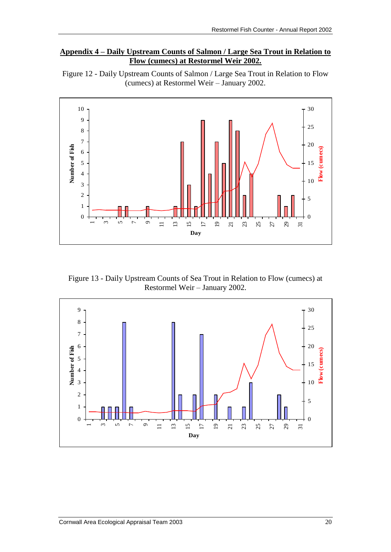### **Appendix 4 – Daily Upstream Counts of Salmon / Large Sea Trout in Relation to Flow (cumecs) at Restormel Weir 2002.**

![](_page_25_Figure_2.jpeg)

![](_page_25_Figure_3.jpeg)

Figure 13 - Daily Upstream Counts of Sea Trout in Relation to Flow (cumecs) at Restormel Weir – January 2002.

![](_page_25_Figure_5.jpeg)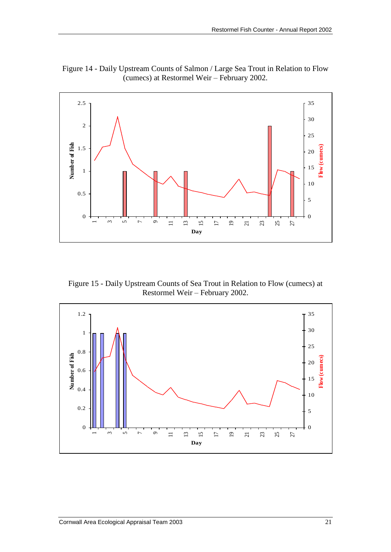![](_page_26_Figure_1.jpeg)

Figure 14 - Daily Upstream Counts of Salmon / Large Sea Trout in Relation to Flow (cumecs) at Restormel Weir – February 2002.

Figure 15 - Daily Upstream Counts of Sea Trout in Relation to Flow (cumecs) at Restormel Weir – February 2002.

![](_page_26_Figure_4.jpeg)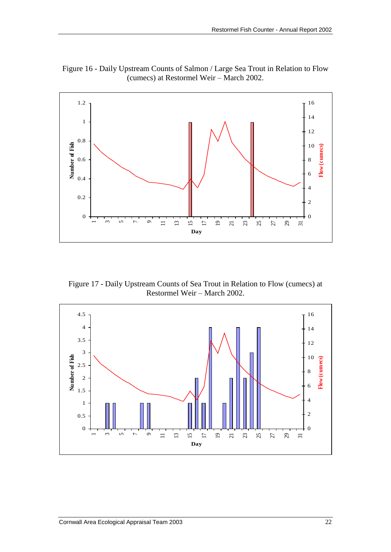![](_page_27_Figure_1.jpeg)

Figure 16 - Daily Upstream Counts of Salmon / Large Sea Trout in Relation to Flow (cumecs) at Restormel Weir – March 2002.

Figure 17 - Daily Upstream Counts of Sea Trout in Relation to Flow (cumecs) at Restormel Weir – March 2002.

![](_page_27_Figure_4.jpeg)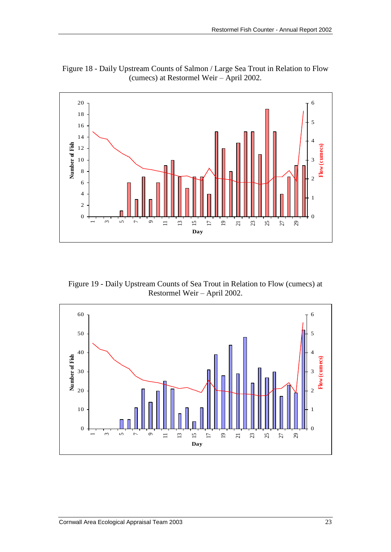![](_page_28_Figure_1.jpeg)

Figure 18 - Daily Upstream Counts of Salmon / Large Sea Trout in Relation to Flow (cumecs) at Restormel Weir – April 2002.

Figure 19 - Daily Upstream Counts of Sea Trout in Relation to Flow (cumecs) at Restormel Weir – April 2002.

![](_page_28_Figure_4.jpeg)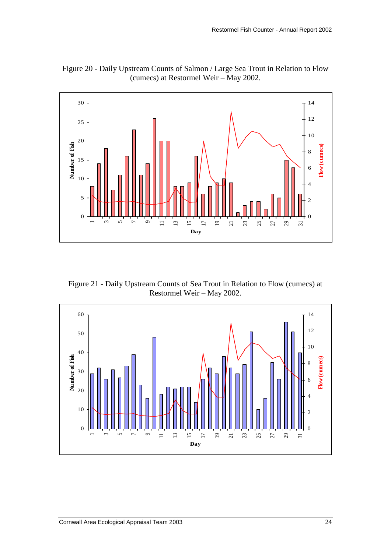![](_page_29_Figure_1.jpeg)

Figure 20 - Daily Upstream Counts of Salmon / Large Sea Trout in Relation to Flow (cumecs) at Restormel Weir – May 2002.

Figure 21 - Daily Upstream Counts of Sea Trout in Relation to Flow (cumecs) at Restormel Weir – May 2002.

![](_page_29_Figure_4.jpeg)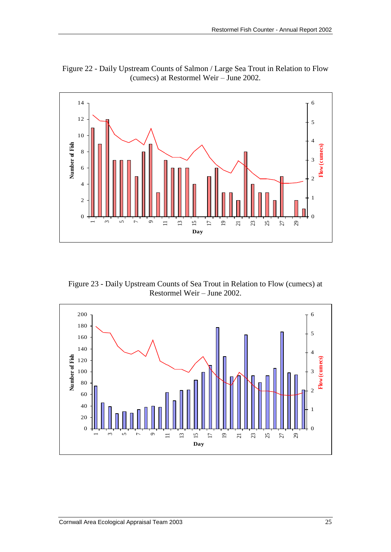![](_page_30_Figure_1.jpeg)

Figure 22 - Daily Upstream Counts of Salmon / Large Sea Trout in Relation to Flow (cumecs) at Restormel Weir – June 2002.

Figure 23 - Daily Upstream Counts of Sea Trout in Relation to Flow (cumecs) at Restormel Weir – June 2002.

![](_page_30_Figure_4.jpeg)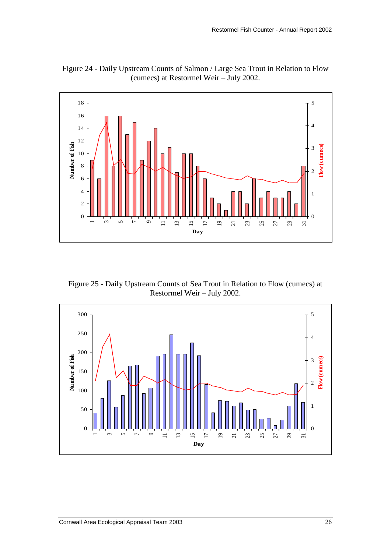![](_page_31_Figure_1.jpeg)

Figure 24 - Daily Upstream Counts of Salmon / Large Sea Trout in Relation to Flow (cumecs) at Restormel Weir – July 2002.

Figure 25 - Daily Upstream Counts of Sea Trout in Relation to Flow (cumecs) at Restormel Weir – July 2002.

![](_page_31_Figure_4.jpeg)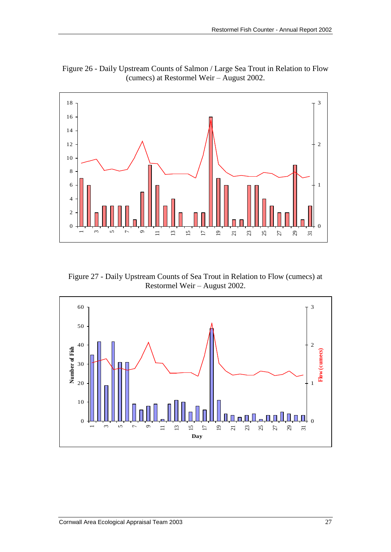![](_page_32_Figure_1.jpeg)

Figure 26 - Daily Upstream Counts of Salmon / Large Sea Trout in Relation to Flow (cumecs) at Restormel Weir – August 2002.

Figure 27 - Daily Upstream Counts of Sea Trout in Relation to Flow (cumecs) at Restormel Weir – August 2002.

![](_page_32_Figure_4.jpeg)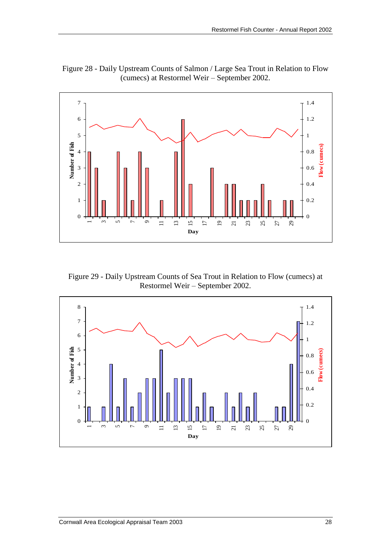![](_page_33_Figure_1.jpeg)

Figure 28 - Daily Upstream Counts of Salmon / Large Sea Trout in Relation to Flow (cumecs) at Restormel Weir – September 2002.

Figure 29 - Daily Upstream Counts of Sea Trout in Relation to Flow (cumecs) at Restormel Weir – September 2002.

![](_page_33_Figure_4.jpeg)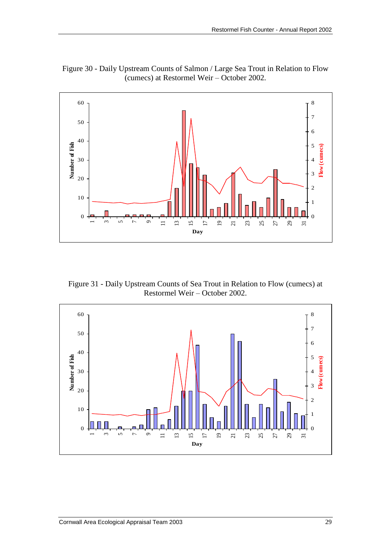![](_page_34_Figure_1.jpeg)

Figure 30 - Daily Upstream Counts of Salmon / Large Sea Trout in Relation to Flow (cumecs) at Restormel Weir – October 2002.

Figure 31 - Daily Upstream Counts of Sea Trout in Relation to Flow (cumecs) at Restormel Weir – October 2002.

![](_page_34_Figure_4.jpeg)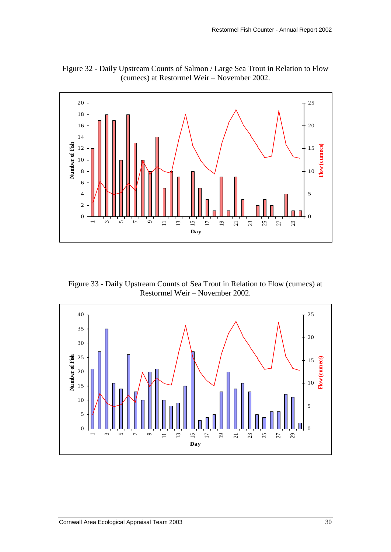![](_page_35_Figure_1.jpeg)

Figure 32 - Daily Upstream Counts of Salmon / Large Sea Trout in Relation to Flow (cumecs) at Restormel Weir – November 2002.

Figure 33 - Daily Upstream Counts of Sea Trout in Relation to Flow (cumecs) at Restormel Weir – November 2002.

![](_page_35_Figure_4.jpeg)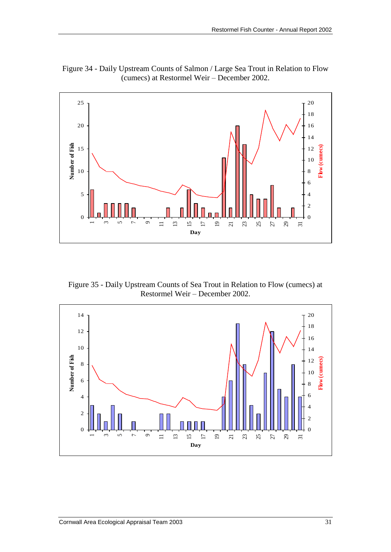![](_page_36_Figure_1.jpeg)

Figure 34 - Daily Upstream Counts of Salmon / Large Sea Trout in Relation to Flow (cumecs) at Restormel Weir – December 2002.

Figure 35 - Daily Upstream Counts of Sea Trout in Relation to Flow (cumecs) at Restormel Weir – December 2002.

![](_page_36_Figure_4.jpeg)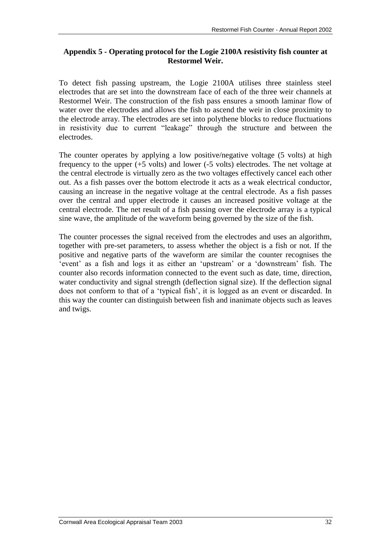### **Appendix 5 - Operating protocol for the Logie 2100A resistivity fish counter at Restormel Weir.**

To detect fish passing upstream, the Logie 2100A utilises three stainless steel electrodes that are set into the downstream face of each of the three weir channels at Restormel Weir. The construction of the fish pass ensures a smooth laminar flow of water over the electrodes and allows the fish to ascend the weir in close proximity to the electrode array. The electrodes are set into polythene blocks to reduce fluctuations in resistivity due to current "leakage" through the structure and between the electrodes.

The counter operates by applying a low positive/negative voltage (5 volts) at high frequency to the upper (+5 volts) and lower (-5 volts) electrodes. The net voltage at the central electrode is virtually zero as the two voltages effectively cancel each other out. As a fish passes over the bottom electrode it acts as a weak electrical conductor, causing an increase in the negative voltage at the central electrode. As a fish passes over the central and upper electrode it causes an increased positive voltage at the central electrode. The net result of a fish passing over the electrode array is a typical sine wave, the amplitude of the waveform being governed by the size of the fish.

The counter processes the signal received from the electrodes and uses an algorithm, together with pre-set parameters, to assess whether the object is a fish or not. If the positive and negative parts of the waveform are similar the counter recognises the 'event' as a fish and logs it as either an 'upstream' or a 'downstream' fish. The counter also records information connected to the event such as date, time, direction, water conductivity and signal strength (deflection signal size). If the deflection signal does not conform to that of a 'typical fish', it is logged as an event or discarded. In this way the counter can distinguish between fish and inanimate objects such as leaves and twigs.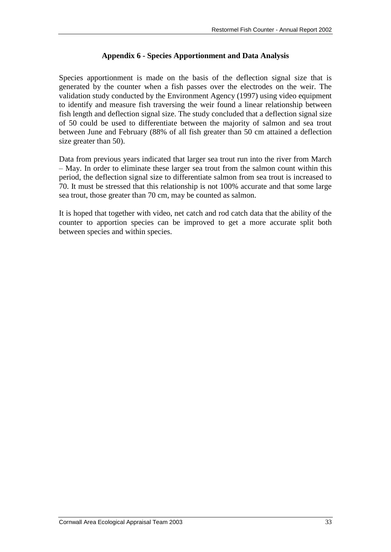### **Appendix 6 - Species Apportionment and Data Analysis**

Species apportionment is made on the basis of the deflection signal size that is generated by the counter when a fish passes over the electrodes on the weir. The validation study conducted by the Environment Agency (1997) using video equipment to identify and measure fish traversing the weir found a linear relationship between fish length and deflection signal size. The study concluded that a deflection signal size of 50 could be used to differentiate between the majority of salmon and sea trout between June and February (88% of all fish greater than 50 cm attained a deflection size greater than 50).

Data from previous years indicated that larger sea trout run into the river from March – May. In order to eliminate these larger sea trout from the salmon count within this period, the deflection signal size to differentiate salmon from sea trout is increased to 70. It must be stressed that this relationship is not 100% accurate and that some large sea trout, those greater than 70 cm, may be counted as salmon.

It is hoped that together with video, net catch and rod catch data that the ability of the counter to apportion species can be improved to get a more accurate split both between species and within species.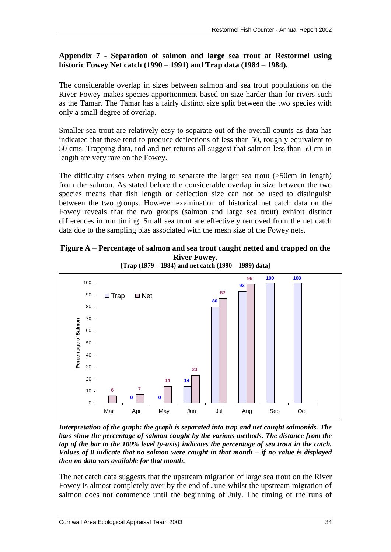### **Appendix 7** - **Separation of salmon and large sea trout at Restormel using historic Fowey Net catch (1990 – 1991) and Trap data (1984 – 1984).**

The considerable overlap in sizes between salmon and sea trout populations on the River Fowey makes species apportionment based on size harder than for rivers such as the Tamar. The Tamar has a fairly distinct size split between the two species with only a small degree of overlap.

Smaller sea trout are relatively easy to separate out of the overall counts as data has indicated that these tend to produce deflections of less than 50, roughly equivalent to 50 cms. Trapping data, rod and net returns all suggest that salmon less than 50 cm in length are very rare on the Fowey.

The difficulty arises when trying to separate the larger sea trout (>50cm in length) from the salmon. As stated before the considerable overlap in size between the two species means that fish length or deflection size can not be used to distinguish between the two groups. However examination of historical net catch data on the Fowey reveals that the two groups (salmon and large sea trout) exhibit distinct differences in run timing. Small sea trout are effectively removed from the net catch data due to the sampling bias associated with the mesh size of the Fowey nets.

### **Figure A – Percentage of salmon and sea trout caught netted and trapped on the River Fowey.**

![](_page_39_Figure_6.jpeg)

*Interpretation of the graph: the graph is separated into trap and net caught salmonids. The bars show the percentage of salmon caught by the various methods. The distance from the top of the bar to the 100% level (y-axis) indicates the percentage of sea trout in the catch. Values of 0 indicate that no salmon were caught in that month – if no value is displayed then no data was available for that month.* 

The net catch data suggests that the upstream migration of large sea trout on the River Fowey is almost completely over by the end of June whilst the upstream migration of salmon does not commence until the beginning of July. The timing of the runs of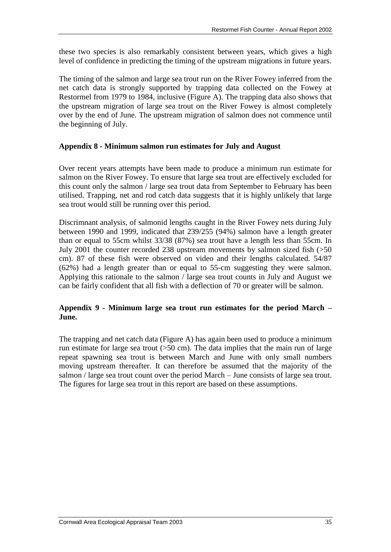these two species is also remarkably consistent between years, which gives a high level of confidence in predicting the timing of the upstream migrations in future years.

The timing of the salmon and large sea trout run on the River Fowey inferred from the net catch data is strongly supported by trapping data collected on the Fowey at Restormel from 1979 to 1984, inclusive (Figure A). The trapping data also shows that the upstream migration of large sea trout on the River Fowey is almost completely over by the end of June. The upstream migration of salmon does not commence until the beginning of July.

#### **Appendix 8 - Minimum salmon run estimates for July and August**

Over recent years attempts have been made to produce a minimum run estimate for salmon on the River Fowey. To ensure that large sea trout are effectively excluded for this count only the salmon / large sea trout data from September to February has been utilised. Trapping, net and rod catch data suggests that it is highly unlikely that large sea trout would still be running over this period.

Discrimnant analysis, of salmonid lengths caught in the River Fowey nets during July between 1990 and 1999, indicated that 239/255 (94%) salmon have a length greater than or equal to 55cm whilst 33/38 (87%) sea trout have a length less than 55cm. In July 2001 the counter recorded 238 upstream movements by salmon sized fish (>50 cm). 87 of these fish were observed on video and their lengths calculated. 54/87 (62%) had a length greater than or equal to 55-cm suggesting they were salmon. Applying this rationale to the salmon / large sea trout counts in July and August we can be fairly confident that all fish with a deflection of 70 or greater will be salmon.

### **Appendix 9 - Minimum large sea trout run estimates for the period March – June.**

The trapping and net catch data (Figure A) has again been used to produce a minimum run estimate for large sea trout (>50 cm). The data implies that the main run of large repeat spawning sea trout is between March and June with only small numbers moving upstream thereafter. It can therefore be assumed that the majority of the salmon / large sea trout count over the period March – June consists of large sea trout. The figures for large sea trout in this report are based on these assumptions.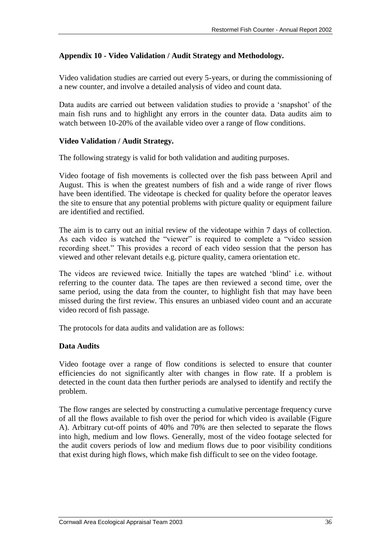### **Appendix 10 - Video Validation / Audit Strategy and Methodology.**

Video validation studies are carried out every 5-years, or during the commissioning of a new counter, and involve a detailed analysis of video and count data.

Data audits are carried out between validation studies to provide a 'snapshot' of the main fish runs and to highlight any errors in the counter data. Data audits aim to watch between 10-20% of the available video over a range of flow conditions.

### **Video Validation / Audit Strategy.**

The following strategy is valid for both validation and auditing purposes.

Video footage of fish movements is collected over the fish pass between April and August. This is when the greatest numbers of fish and a wide range of river flows have been identified. The videotape is checked for quality before the operator leaves the site to ensure that any potential problems with picture quality or equipment failure are identified and rectified.

The aim is to carry out an initial review of the videotape within 7 days of collection. As each video is watched the "viewer" is required to complete a "video session recording sheet." This provides a record of each video session that the person has viewed and other relevant details e.g. picture quality, camera orientation etc.

The videos are reviewed twice. Initially the tapes are watched 'blind' i.e. without referring to the counter data. The tapes are then reviewed a second time, over the same period, using the data from the counter, to highlight fish that may have been missed during the first review. This ensures an unbiased video count and an accurate video record of fish passage.

The protocols for data audits and validation are as follows:

### **Data Audits**

Video footage over a range of flow conditions is selected to ensure that counter efficiencies do not significantly alter with changes in flow rate. If a problem is detected in the count data then further periods are analysed to identify and rectify the problem.

The flow ranges are selected by constructing a cumulative percentage frequency curve of all the flows available to fish over the period for which video is available (Figure A). Arbitrary cut-off points of 40% and 70% are then selected to separate the flows into high, medium and low flows. Generally, most of the video footage selected for the audit covers periods of low and medium flows due to poor visibility conditions that exist during high flows, which make fish difficult to see on the video footage.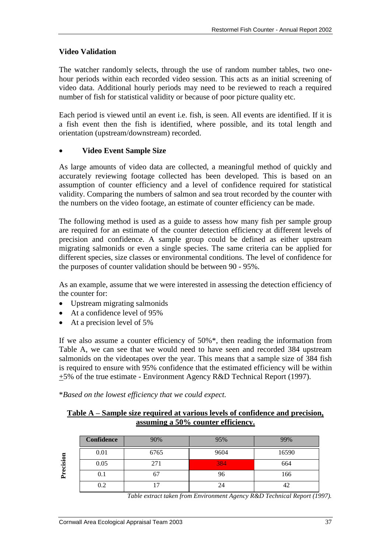#### **Video Validation**

The watcher randomly selects, through the use of random number tables, two onehour periods within each recorded video session. This acts as an initial screening of video data. Additional hourly periods may need to be reviewed to reach a required number of fish for statistical validity or because of poor picture quality etc.

Each period is viewed until an event i.e. fish, is seen. All events are identified. If it is a fish event then the fish is identified, where possible, and its total length and orientation (upstream/downstream) recorded.

#### **Video Event Sample Size**

As large amounts of video data are collected, a meaningful method of quickly and accurately reviewing footage collected has been developed. This is based on an assumption of counter efficiency and a level of confidence required for statistical validity. Comparing the numbers of salmon and sea trout recorded by the counter with the numbers on the video footage, an estimate of counter efficiency can be made.

The following method is used as a guide to assess how many fish per sample group are required for an estimate of the counter detection efficiency at different levels of precision and confidence. A sample group could be defined as either upstream migrating salmonids or even a single species. The same criteria can be applied for different species, size classes or environmental conditions. The level of confidence for the purposes of counter validation should be between 90 - 95%.

As an example, assume that we were interested in assessing the detection efficiency of the counter for:

- Upstream migrating salmonids
- At a confidence level of 95%
- At a precision level of 5%

If we also assume a counter efficiency of 50%\*, then reading the information from Table A, we can see that we would need to have seen and recorded 384 upstream salmonids on the videotapes over the year. This means that a sample size of 384 fish is required to ensure with 95% confidence that the estimated efficiency will be within +5% of the true estimate - Environment Agency R&D Technical Report (1997).

\**Based on the lowest efficiency that we could expect.*

#### **Table A – Sample size required at various levels of confidence and precision, assuming a 50% counter efficiency.**

|           | Confidence | 90%  | 95%  | 99%   |
|-----------|------------|------|------|-------|
|           | 0.01       | 6765 | 9604 | 16590 |
| Precision | 0.05       | 271  | 384  | 664   |
|           | $\rm 0.1$  |      | 96   | 166   |
|           | 0.2        |      | 24   |       |

*Table extract taken from Environment Agency R&D Technical Report (1997).*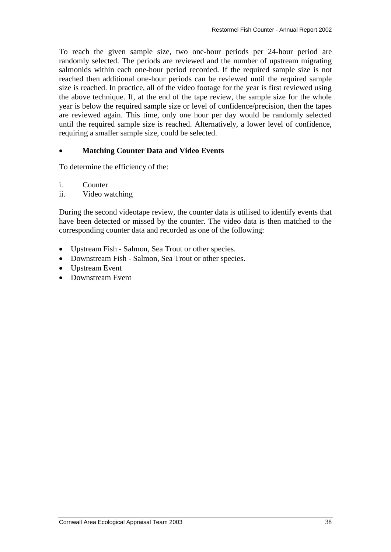To reach the given sample size, two one-hour periods per 24-hour period are randomly selected. The periods are reviewed and the number of upstream migrating salmonids within each one-hour period recorded. If the required sample size is not reached then additional one-hour periods can be reviewed until the required sample size is reached. In practice, all of the video footage for the year is first reviewed using the above technique. If, at the end of the tape review, the sample size for the whole year is below the required sample size or level of confidence/precision, then the tapes are reviewed again. This time, only one hour per day would be randomly selected until the required sample size is reached. Alternatively, a lower level of confidence, requiring a smaller sample size, could be selected.

#### **Matching Counter Data and Video Events**

To determine the efficiency of the:

i. Counter

ii. Video watching

During the second videotape review, the counter data is utilised to identify events that have been detected or missed by the counter. The video data is then matched to the corresponding counter data and recorded as one of the following:

- Upstream Fish Salmon, Sea Trout or other species.
- Downstream Fish Salmon, Sea Trout or other species.
- Upstream Event
- Downstream Event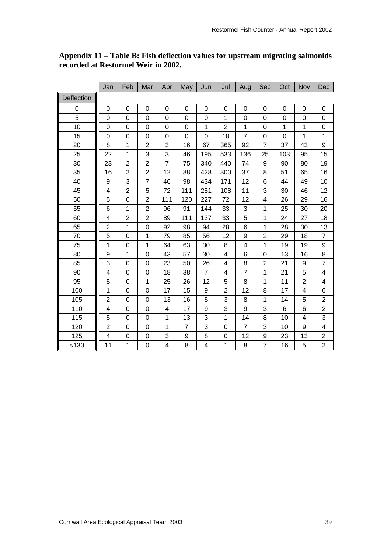|            | Jan                     | Feb            | Mar            | Apr                      | May            | Jun            | Jul                     | Aug            | Sep            | Oct         | Nov            | Dec                     |
|------------|-------------------------|----------------|----------------|--------------------------|----------------|----------------|-------------------------|----------------|----------------|-------------|----------------|-------------------------|
| Deflection |                         |                |                |                          |                |                |                         |                |                |             |                |                         |
| 0          | 0                       | $\mathbf 0$    | $\mathbf 0$    | 0                        | $\mathbf 0$    | 0              | $\mathbf 0$             | 0              | $\mathbf 0$    | $\mathbf 0$ | 0              | 0                       |
| 5          | 0                       | 0              | 0              | 0                        | 0              | 0              | 1                       | 0              | 0              | 0           | 0              | 0                       |
| 10         | 0                       | 0              | 0              | 0                        | $\mathbf 0$    | 1              | $\overline{2}$          | 1              | 0              | 1           | 1              | 0                       |
| 15         | 0                       | $\mathbf 0$    | 0              | 0                        | $\mathbf 0$    | 0              | 18                      | $\overline{7}$ | $\mathbf 0$    | $\mathbf 0$ | 1              | 1                       |
| 20         | 8                       | 1              | $\overline{2}$ | 3                        | 16             | 67             | 365                     | 92             | 7              | 37          | 43             | 9                       |
| 25         | 22                      | 1              | 3              | 3                        | 46             | 195            | 533                     | 136            | 25             | 103         | 95             | 15                      |
| 30         | 23                      | $\overline{2}$ | $\overline{2}$ | $\overline{7}$           | 75             | 340            | 440                     | 74             | 9              | 90          | 80             | 19                      |
| 35         | 16                      | $\overline{2}$ | $\overline{c}$ | 12                       | 88             | 428            | 300                     | 37             | 8              | 51          | 65             | 16                      |
| 40         | 9                       | 3              | $\overline{7}$ | 46                       | 98             | 434            | 171                     | 12             | 6              | 44          | 49             | 10                      |
| 45         | 4                       | $\overline{2}$ | 5              | 72                       | 111            | 281            | 108                     | 11             | 3              | 30          | 46             | 12                      |
| 50         | 5                       | 0              | $\overline{2}$ | 111                      | 120            | 227            | 72                      | 12             | 4              | 26          | 29             | 16                      |
| 55         | 6                       | 1              | $\overline{2}$ | 96                       | 91             | 144            | 33                      | 3              | 1              | 25          | 30             | 20                      |
| 60         | 4                       | $\overline{2}$ | $\overline{2}$ | 89                       | 111            | 137            | 33                      | 5              | 1              | 24          | 27             | 18                      |
| 65         | $\overline{c}$          | 1              | 0              | 92                       | 98             | 94             | 28                      | 6              | 1              | 28          | 30             | 13                      |
| 70         | 5                       | $\overline{0}$ | 1              | 79                       | 85             | 56             | 12                      | 9              | $\overline{c}$ | 29          | 18             | 7                       |
| 75         | 1                       | 0              | 1              | 64                       | 63             | 30             | 8                       | 4              | 1              | 19          | 19             | 9                       |
| 80         | 9                       | 1              | $\mathbf 0$    | 43                       | 57             | 30             | 4                       | 6              | $\mathbf 0$    | 13          | 16             | 8                       |
| 85         | 3                       | 0              | 0              | 23                       | 50             | 26             | 4                       | 8              | $\overline{2}$ | 21          | 9              | 7                       |
| 90         | 4                       | $\mathbf 0$    | $\mathbf 0$    | 18                       | 38             | $\overline{7}$ | 4                       | $\overline{7}$ | 1              | 21          | 5              | 4                       |
| 95         | 5                       | $\mathbf 0$    | 1              | 25                       | 26             | 12             | 5                       | 8              | 1              | 11          | $\overline{2}$ | 4                       |
| 100        | 1                       | $\overline{0}$ | $\mathbf 0$    | 17                       | 15             | 9              | $\overline{\mathbf{c}}$ | 12             | 8              | 17          | 4              | 6                       |
| 105        | 2                       | $\mathbf 0$    | $\mathbf 0$    | 13                       | 16             | 5              | 3                       | 8              | 1              | 14          | 5              | $\overline{\mathbf{c}}$ |
| 110        | 4                       | $\overline{0}$ | $\mathbf 0$    | 4                        | 17             | 9              | 3                       | 9              | 3              | 6           | 6              | $\overline{c}$          |
| 115        | 5                       | 0              | 0              | 1                        | 13             | 3              | 1                       | 14             | 8              | 10          | 4              | 3                       |
| 120        | $\overline{\mathbf{c}}$ | $\mathbf 0$    | $\mathbf 0$    | 1                        | $\overline{7}$ | 3              | $\mathbf 0$             | $\overline{7}$ | 3              | 10          | 9              | 4                       |
| 125        | 4                       | 0              | 0              | 3                        | 9              | 8              | 0                       | 12             | 9              | 23          | 13             | $\overline{\mathbf{c}}$ |
| < 130      | 11                      | 1              | 0              | $\overline{\mathcal{A}}$ | 8              | 4              | 1                       | 8              | 7              | 16          | 5              | $\overline{c}$          |

### **Appendix 11 – Table B: Fish deflection values for upstream migrating salmonids recorded at Restormel Weir in 2002.**